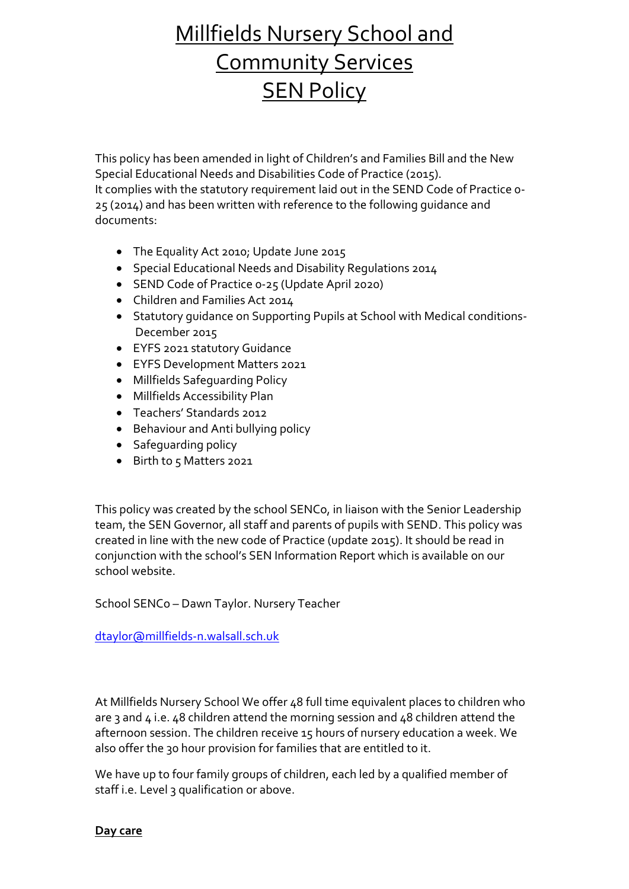# Millfields Nursery School and Community Services **SEN Policy**

This policy has been amended in light of Children's and Families Bill and the New Special Educational Needs and Disabilities Code of Practice (2015). It complies with the statutory requirement laid out in the SEND Code of Practice 0- 25 (2014) and has been written with reference to the following guidance and documents:

- The Equality Act 2010; Update June 2015
- Special Educational Needs and Disability Regulations 2014
- SEND Code of Practice 0-25 (Update April 2020)
- Children and Families Act 2014
- Statutory guidance on Supporting Pupils at School with Medical conditions-December 2015
- EYFS 2021 statutory Guidance
- EYFS Development Matters 2021
- Millfields Safeguarding Policy
- Millfields Accessibility Plan
- Teachers' Standards 2012
- Behaviour and Anti bullying policy
- Safeguarding policy
- Birth to 5 Matters 2021

This policy was created by the school SENCo, in liaison with the Senior Leadership team, the SEN Governor, all staff and parents of pupils with SEND. This policy was created in line with the new code of Practice (update 2015). It should be read in conjunction with the school's SEN Information Report which is available on our school website.

School SENCo – Dawn Taylor. Nursery Teacher

[dtaylor@millfields-n.walsall.sch.uk](mailto:dtaylor@millfields-n.walsall.sch.uk)

At Millfields Nursery School We offer 48 full time equivalent places to children who are 3 and  $4$  i.e.  $48$  children attend the morning session and  $48$  children attend the afternoon session. The children receive 15 hours of nursery education a week. We also offer the 30 hour provision for families that are entitled to it.

We have up to four family groups of children, each led by a qualified member of staff i.e. Level 3 qualification or above.

**Day care**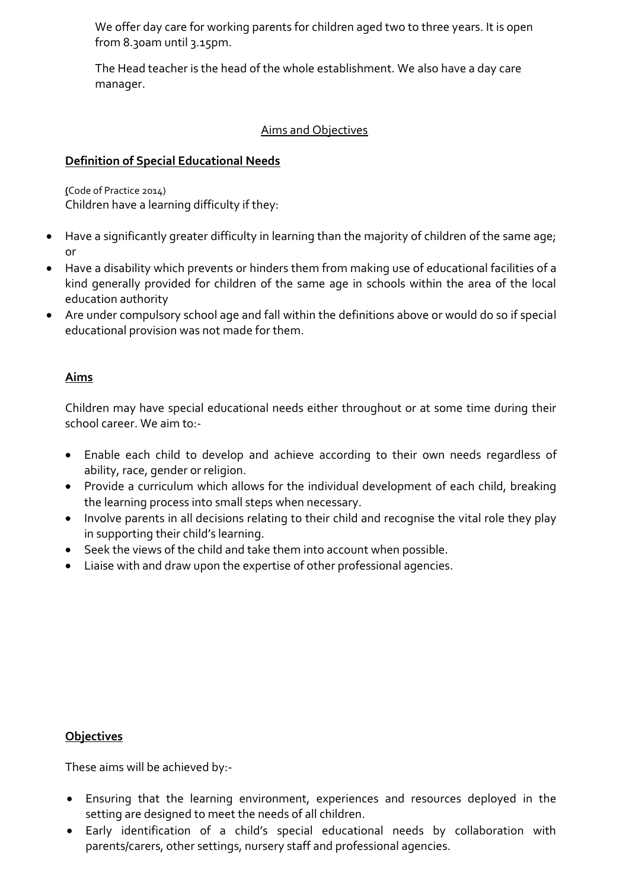We offer day care for working parents for children aged two to three years. It is open from 8.30am until 3.15pm.

The Head teacher is the head of the whole establishment. We also have a day care manager.

## Aims and Objectives

# **Definition of Special Educational Needs**

**(**Code of Practice 2014) Children have a learning difficulty if they:

- Have a significantly greater difficulty in learning than the majority of children of the same age; or
- Have a disability which prevents or hinders them from making use of educational facilities of a kind generally provided for children of the same age in schools within the area of the local education authority
- Are under compulsory school age and fall within the definitions above or would do so if special educational provision was not made for them.

## **Aims**

Children may have special educational needs either throughout or at some time during their school career. We aim to --

- Enable each child to develop and achieve according to their own needs regardless of ability, race, gender or religion.
- Provide a curriculum which allows for the individual development of each child, breaking the learning process into small steps when necessary.
- Involve parents in all decisions relating to their child and recognise the vital role they play in supporting their child's learning.
- Seek the views of the child and take them into account when possible.
- Liaise with and draw upon the expertise of other professional agencies.

## **Objectives**

These aims will be achieved by:-

- Ensuring that the learning environment, experiences and resources deployed in the setting are designed to meet the needs of all children.
- Early identification of a child's special educational needs by collaboration with parents/carers, other settings, nursery staff and professional agencies.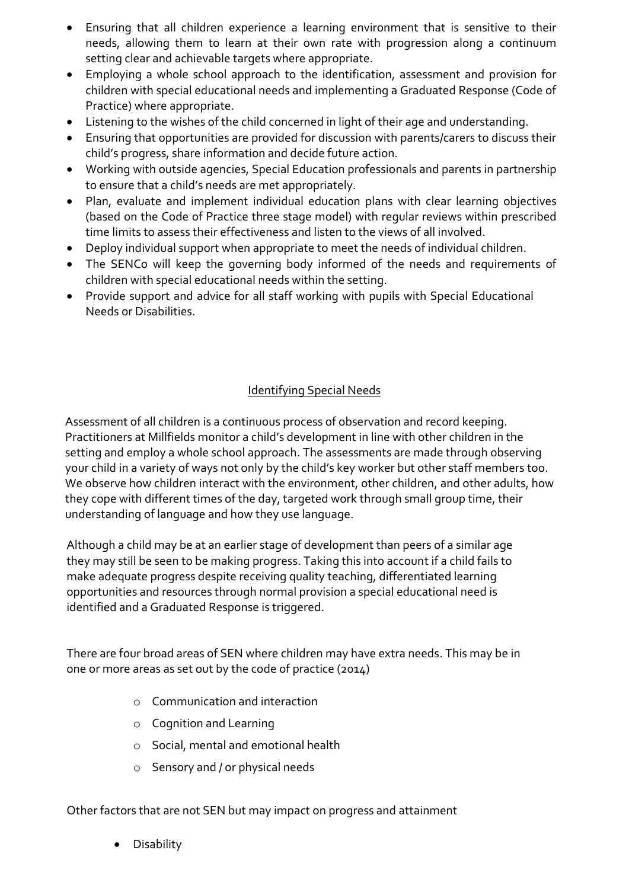- Ensuring that all children experience a learning environment that is sensitive to their needs, allowing them to learn at their own rate with progression along a continuum setting clear and achievable targets where appropriate.
- Employing a whole school approach to the identification, assessment and provision for children with special educational needs and implementing a Graduated Response (Code of Practice) where appropriate.
- Listening to the wishes of the child concerned in light of their age and understanding.
- Ensuring that opportunities are provided for discussion with parents/carers to discuss their child's progress, share information and decide future action.
- Working with outside agencies, Special Education professionals and parents in partnership to ensure that a child's needs are met appropriately.
- Plan, evaluate and implement individual education plans with clear learning objectives (based on the Code of Practice three stage model) with regular reviews within prescribed time limits to assess their effectiveness and listen to the views of all involved.
- Deploy individual support when appropriate to meet the needs of individual children.
- The SENCo will keep the governing body informed of the needs and requirements of children with special educational needs within the setting.
- Provide support and advice for all staff working with pupils with Special Educational Needs or Disabilities.

# Identifying Special Needs

Assessment of all children is a continuous process of observation and record keeping. Practitioners at Millfields monitor a child's development in line with other children in the setting and employ a whole school approach. The assessments are made through observing your child in a variety of ways not only by the child's key worker but other staff members too. We observe how children interact with the environment, other children, and other adults, how they cope with different times of the day, targeted work through small group time, their understanding of language and how they use language.

Although a child may be at an earlier stage of development than peers of a similar age they may still be seen to be making progress. Taking this into account if a child fails to make adequate progress despite receiving quality teaching, differentiated learning opportunities and resources through normal provision a special educational need is identified and a Graduated Response is triggered.

There are four broad areas of SEN where children may have extra needs. This may be in one or more areas as set out by the code of practice (2014)

- o Communication and interaction
- o Cognition and Learning
- o Social, mental and emotional health
- o Sensory and / or physical needs

Other factors that are not SEN but may impact on progress and attainment

**Disability**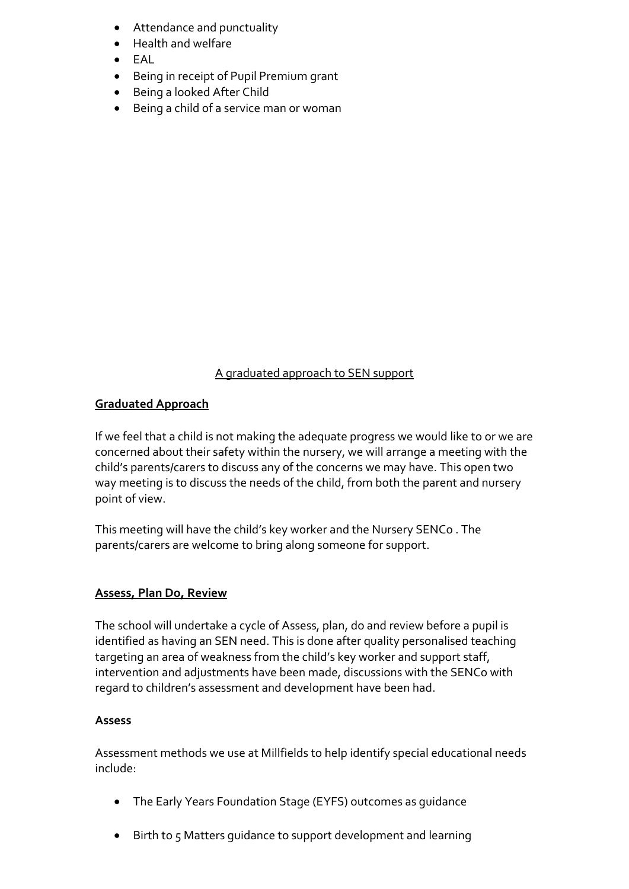- Attendance and punctuality
- Health and welfare
- $\bullet$  FAL
- Being in receipt of Pupil Premium grant
- Being a looked After Child
- Being a child of a service man or woman

#### A graduated approach to SEN support

#### **Graduated Approach**

If we feel that a child is not making the adequate progress we would like to or we are concerned about their safety within the nursery, we will arrange a meeting with the child's parents/carers to discuss any of the concerns we may have. This open two way meeting is to discuss the needs of the child, from both the parent and nursery point of view.

This meeting will have the child's key worker and the Nursery SENCo . The parents/carers are welcome to bring along someone for support.

## **Assess, Plan Do, Review**

The school will undertake a cycle of Assess, plan, do and review before a pupil is identified as having an SEN need. This is done after quality personalised teaching targeting an area of weakness from the child's key worker and support staff, intervention and adjustments have been made, discussions with the SENCo with regard to children's assessment and development have been had.

#### **Assess**

Assessment methods we use at Millfields to help identify special educational needs include:

- The Early Years Foundation Stage (EYFS) outcomes as guidance
- Birth to 5 Matters guidance to support development and learning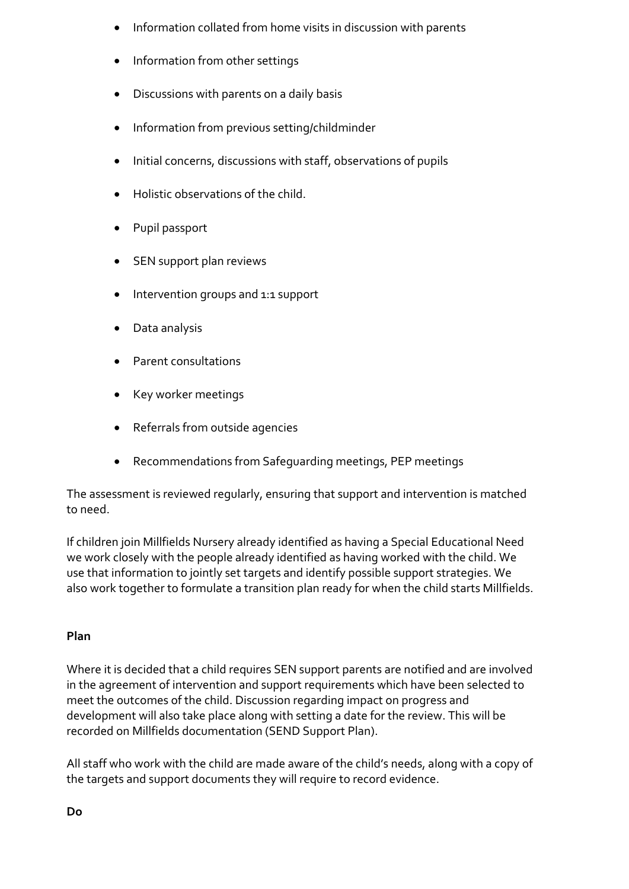- Information collated from home visits in discussion with parents
- Information from other settings
- Discussions with parents on a daily basis
- Information from previous setting/childminder
- Initial concerns, discussions with staff, observations of pupils
- Holistic observations of the child.
- Pupil passport
- SEN support plan reviews
- Intervention groups and 1:1 support
- Data analysis
- Parent consultations
- Key worker meetings
- Referrals from outside agencies
- Recommendations from Safeguarding meetings, PEP meetings

The assessment is reviewed regularly, ensuring that support and intervention is matched to need.

If children join Millfields Nursery already identified as having a Special Educational Need we work closely with the people already identified as having worked with the child. We use that information to jointly set targets and identify possible support strategies. We also work together to formulate a transition plan ready for when the child starts Millfields.

## **Plan**

Where it is decided that a child requires SEN support parents are notified and are involved in the agreement of intervention and support requirements which have been selected to meet the outcomes of the child. Discussion regarding impact on progress and development will also take place along with setting a date for the review. This will be recorded on Millfields documentation (SEND Support Plan).

All staff who work with the child are made aware of the child's needs, along with a copy of the targets and support documents they will require to record evidence.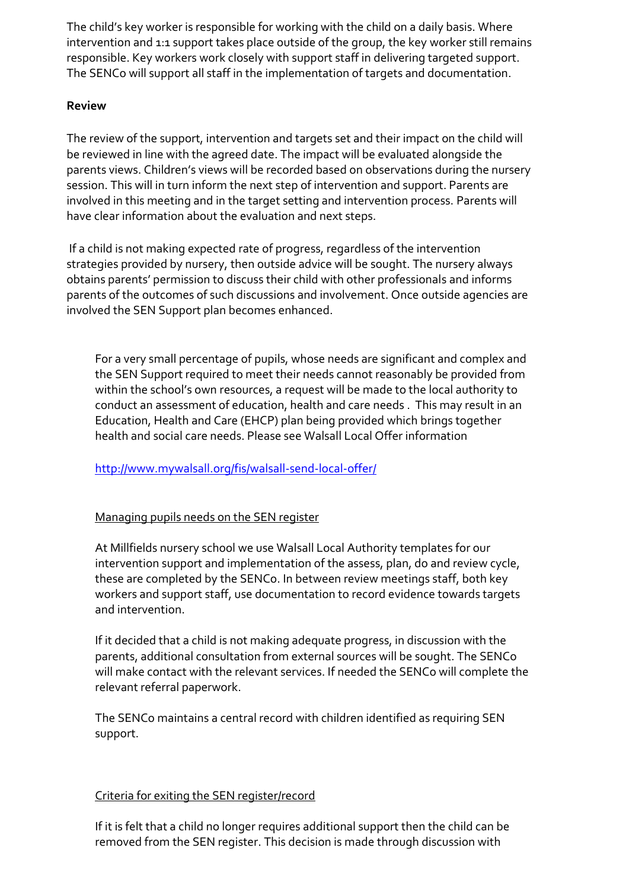The child's key worker is responsible for working with the child on a daily basis. Where intervention and 1:1 support takes place outside of the group, the key worker still remains responsible. Key workers work closely with support staff in delivering targeted support. The SENCo will support all staff in the implementation of targets and documentation.

## **Review**

The review of the support, intervention and targets set and their impact on the child will be reviewed in line with the agreed date. The impact will be evaluated alongside the parents views. Children's views will be recorded based on observations during the nursery session. This will in turn inform the next step of intervention and support. Parents are involved in this meeting and in the target setting and intervention process. Parents will have clear information about the evaluation and next steps.

If a child is not making expected rate of progress, regardless of the intervention strategies provided by nursery, then outside advice will be sought. The nursery always obtains parents' permission to discuss their child with other professionals and informs parents of the outcomes of such discussions and involvement. Once outside agencies are involved the SEN Support plan becomes enhanced.

For a very small percentage of pupils, whose needs are significant and complex and the SEN Support required to meet their needs cannot reasonably be provided from within the school's own resources, a request will be made to the local authority to conduct an assessment of education, health and care needs . This may result in an Education, Health and Care (EHCP) plan being provided which brings together health and social care needs. Please see Walsall Local Offer information

<http://www.mywalsall.org/fis/walsall-send-local-offer/>

## Managing pupils needs on the SEN register

At Millfields nursery school we use Walsall Local Authority templates for our intervention support and implementation of the assess, plan, do and review cycle, these are completed by the SENCo. In between review meetings staff, both key workers and support staff, use documentation to record evidence towards targets and intervention.

If it decided that a child is not making adequate progress, in discussion with the parents, additional consultation from external sources will be sought. The SENCo will make contact with the relevant services. If needed the SENCo will complete the relevant referral paperwork.

The SENCo maintains a central record with children identified as requiring SEN support.

## Criteria for exiting the SEN register/record

If it is felt that a child no longer requires additional support then the child can be removed from the SEN register. This decision is made through discussion with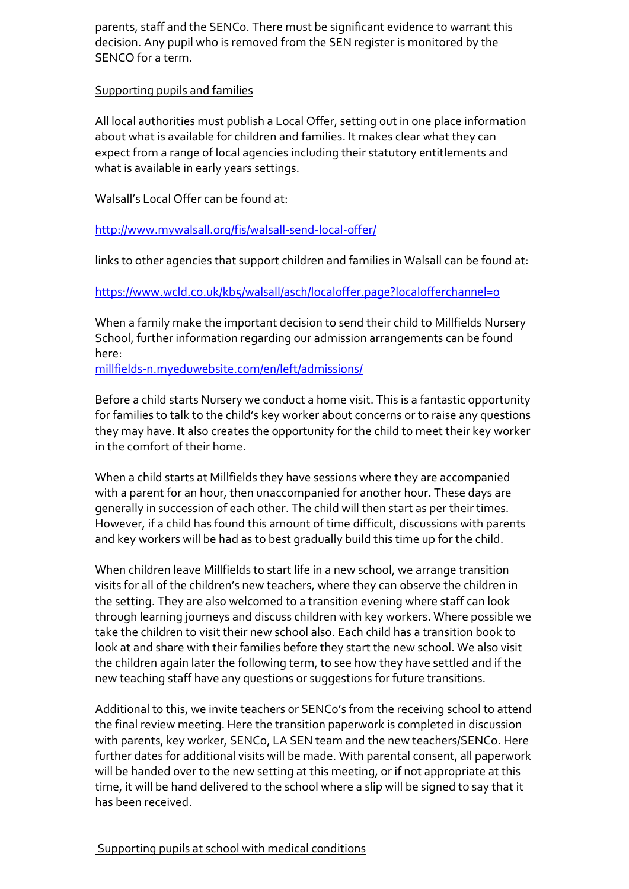parents, staff and the SENCo. There must be significant evidence to warrant this decision. Any pupil who is removed from the SEN register is monitored by the SENCO for a term.

## Supporting pupils and families

All local authorities must publish a Local Offer, setting out in one place information about what is available for children and families. It makes clear what they can expect from a range of local agencies including their statutory entitlements and what is available in early years settings.

Walsall's Local Offer can be found at:

<http://www.mywalsall.org/fis/walsall-send-local-offer/>

links to other agencies that support children and families in Walsall can be found at:

<https://www.wcld.co.uk/kb5/walsall/asch/localoffer.page?localofferchannel=0>

When a family make the important decision to send their child to Millfields Nursery School, further information regarding our admission arrangements can be found here:

[millfields-n.myeduwebsite.com/en/left/admissions/](http://millfields-n.myeduwebsite.com/en/left/admissions/)

Before a child starts Nursery we conduct a home visit. This is a fantastic opportunity for families to talk to the child's key worker about concerns or to raise any questions they may have. It also creates the opportunity for the child to meet their key worker in the comfort of their home.

When a child starts at Millfields they have sessions where they are accompanied with a parent for an hour, then unaccompanied for another hour. These days are generally in succession of each other. The child will then start as per their times. However, if a child has found this amount of time difficult, discussions with parents and key workers will be had as to best gradually build this time up for the child.

When children leave Millfields to start life in a new school, we arrange transition visits for all of the children's new teachers, where they can observe the children in the setting. They are also welcomed to a transition evening where staff can look through learning journeys and discuss children with key workers. Where possible we take the children to visit their new school also. Each child has a transition book to look at and share with their families before they start the new school. We also visit the children again later the following term, to see how they have settled and if the new teaching staff have any questions or suggestions for future transitions.

Additional to this, we invite teachers or SENCo's from the receiving school to attend the final review meeting. Here the transition paperwork is completed in discussion with parents, key worker, SENCo, LA SEN team and the new teachers/SENCo. Here further dates for additional visits will be made. With parental consent, all paperwork will be handed over to the new setting at this meeting, or if not appropriate at this time, it will be hand delivered to the school where a slip will be signed to say that it has been received.

## Supporting pupils at school with medical conditions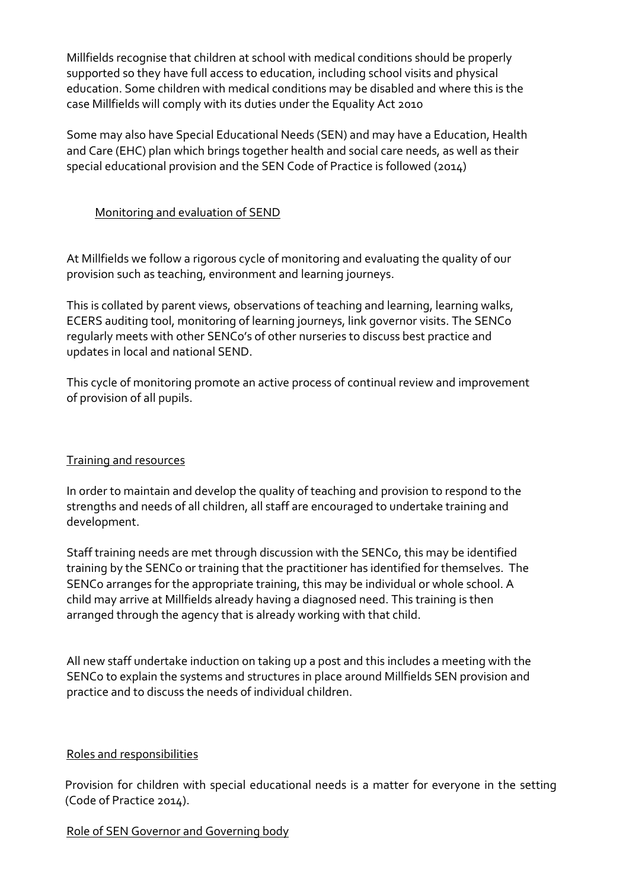Millfields recognise that children at school with medical conditions should be properly supported so they have full access to education, including school visits and physical education. Some children with medical conditions may be disabled and where this is the case Millfields will comply with its duties under the Equality Act 2010

Some may also have Special Educational Needs (SEN) and may have a Education, Health and Care (EHC) plan which brings together health and social care needs, as well as their special educational provision and the SEN Code of Practice is followed (2014)

## Monitoring and evaluation of SEND

At Millfields we follow a rigorous cycle of monitoring and evaluating the quality of our provision such as teaching, environment and learning journeys.

This is collated by parent views, observations of teaching and learning, learning walks, ECERS auditing tool, monitoring of learning journeys, link governor visits. The SENCo regularly meets with other SENCo's of other nurseries to discuss best practice and updates in local and national SEND.

This cycle of monitoring promote an active process of continual review and improvement of provision of all pupils.

## Training and resources

In order to maintain and develop the quality of teaching and provision to respond to the strengths and needs of all children, all staff are encouraged to undertake training and development.

Staff training needs are met through discussion with the SENCo, this may be identified training by the SENCo or training that the practitioner has identified for themselves. The SENCo arranges for the appropriate training, this may be individual or whole school. A child may arrive at Millfields already having a diagnosed need. This training is then arranged through the agency that is already working with that child.

All new staff undertake induction on taking up a post and this includes a meeting with the SENCo to explain the systems and structures in place around Millfields SEN provision and practice and to discuss the needs of individual children.

## Roles and responsibilities

Provision for children with special educational needs is a matter for everyone in the setting (Code of Practice 2014).

## Role of SEN Governor and Governing body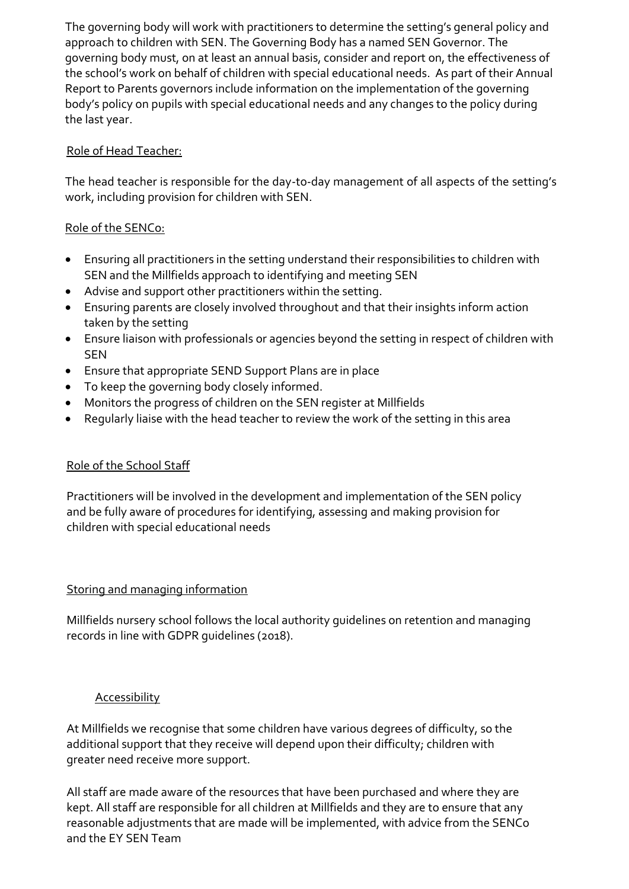The governing body will work with practitioners to determine the setting's general policy and approach to children with SEN. The Governing Body has a named SEN Governor. The governing body must, on at least an annual basis, consider and report on, the effectiveness of the school's work on behalf of children with special educational needs. As part of their Annual Report to Parents governors include information on the implementation of the governing body's policy on pupils with special educational needs and any changes to the policy during the last year.

# Role of Head Teacher:

The head teacher is responsible for the day-to-day management of all aspects of the setting's work, including provision for children with SEN.

# Role of the SENCo:

- Ensuring all practitioners in the setting understand their responsibilities to children with SEN and the Millfields approach to identifying and meeting SEN
- Advise and support other practitioners within the setting.
- Ensuring parents are closely involved throughout and that their insights inform action taken by the setting
- Ensure liaison with professionals or agencies beyond the setting in respect of children with **SEN**
- Ensure that appropriate SEND Support Plans are in place
- To keep the governing body closely informed.
- Monitors the progress of children on the SEN register at Millfields
- Regularly liaise with the head teacher to review the work of the setting in this area

## Role of the School Staff

Practitioners will be involved in the development and implementation of the SEN policy and be fully aware of procedures for identifying, assessing and making provision for children with special educational needs

## Storing and managing information

Millfields nursery school follows the local authority guidelines on retention and managing records in line with GDPR guidelines (2018).

## Accessibility

At Millfields we recognise that some children have various degrees of difficulty, so the additional support that they receive will depend upon their difficulty; children with greater need receive more support.

All staff are made aware of the resources that have been purchased and where they are kept. All staff are responsible for all children at Millfields and they are to ensure that any reasonable adjustments that are made will be implemented, with advice from the SENCo and the EY SEN Team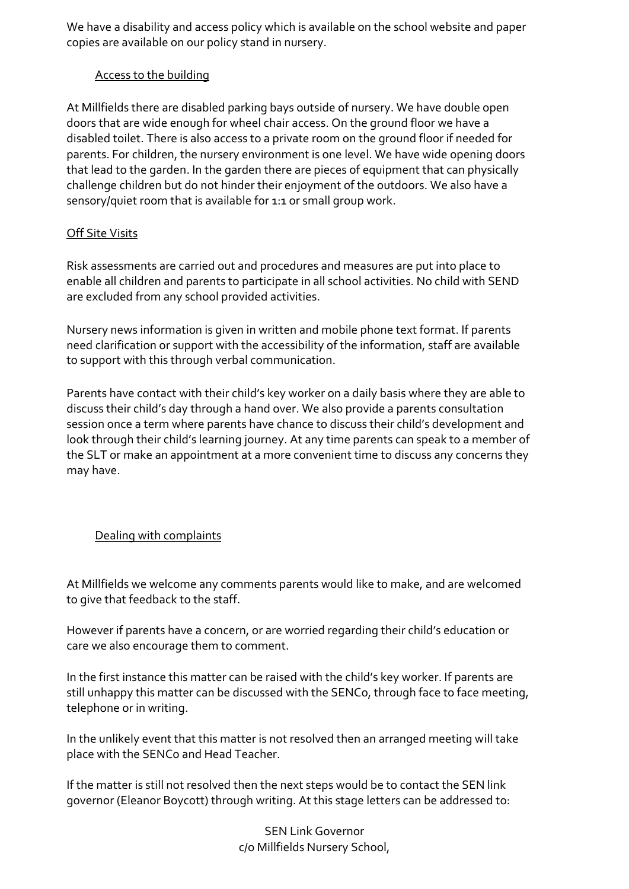We have a disability and access policy which is available on the school website and paper copies are available on our policy stand in nursery.

### Access to the building

At Millfields there are disabled parking bays outside of nursery. We have double open doors that are wide enough for wheel chair access. On the ground floor we have a disabled toilet. There is also access to a private room on the ground floor if needed for parents. For children, the nursery environment is one level. We have wide opening doors that lead to the garden. In the garden there are pieces of equipment that can physically challenge children but do not hinder their enjoyment of the outdoors. We also have a sensory/quiet room that is available for 1:1 or small group work.

## Off Site Visits

Risk assessments are carried out and procedures and measures are put into place to enable all children and parents to participate in all school activities. No child with SEND are excluded from any school provided activities.

Nursery news information is given in written and mobile phone text format. If parents need clarification or support with the accessibility of the information, staff are available to support with this through verbal communication.

Parents have contact with their child's key worker on a daily basis where they are able to discuss their child's day through a hand over. We also provide a parents consultation session once a term where parents have chance to discuss their child's development and look through their child's learning journey. At any time parents can speak to a member of the SLT or make an appointment at a more convenient time to discuss any concerns they may have.

## Dealing with complaints

At Millfields we welcome any comments parents would like to make, and are welcomed to give that feedback to the staff.

However if parents have a concern, or are worried regarding their child's education or care we also encourage them to comment.

In the first instance this matter can be raised with the child's key worker. If parents are still unhappy this matter can be discussed with the SENCo, through face to face meeting, telephone or in writing.

In the unlikely event that this matter is not resolved then an arranged meeting will take place with the SENCo and Head Teacher.

If the matter is still not resolved then the next steps would be to contact the SEN link governor (Eleanor Boycott) through writing. At this stage letters can be addressed to:

> SEN Link Governor c/o Millfields Nursery School,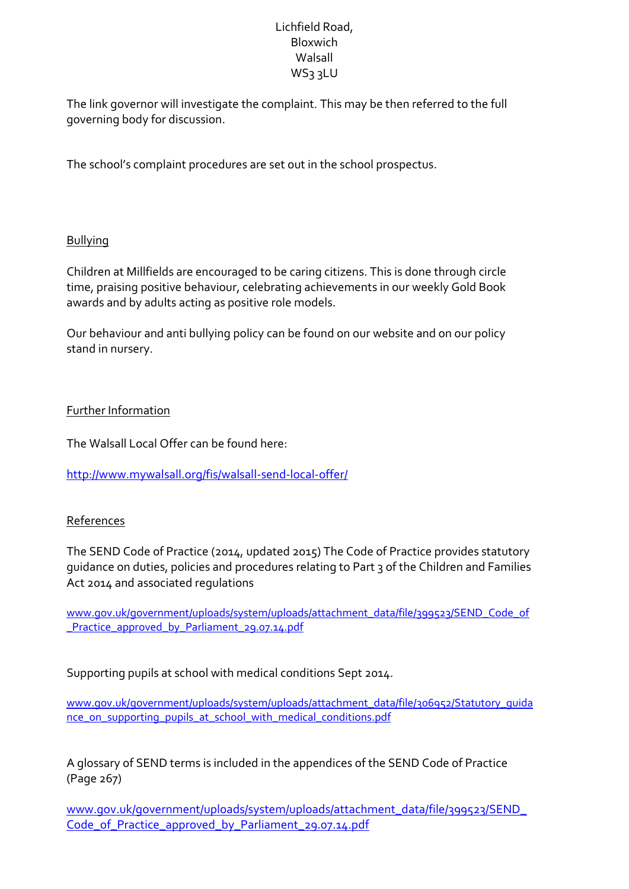## Lichfield Road, Bloxwich Walsall WS3 3LU

The link governor will investigate the complaint. This may be then referred to the full governing body for discussion.

The school's complaint procedures are set out in the school prospectus.

## Bullying

Children at Millfields are encouraged to be caring citizens. This is done through circle time, praising positive behaviour, celebrating achievements in our weekly Gold Book awards and by adults acting as positive role models.

Our behaviour and anti bullying policy can be found on our website and on our policy stand in nursery.

#### Further Information

The Walsall Local Offer can be found here:

<http://www.mywalsall.org/fis/walsall-send-local-offer/>

## References

The SEND Code of Practice (2014, updated 2015) The Code of Practice provides statutory guidance on duties, policies and procedures relating to Part 3 of the Children and Families Act 2014 and associated regulations

[www.gov.uk/government/uploads/system/uploads/attachment\\_data/file/399523/SEND\\_Code\\_of](http://www.gov.uk/government/uploads/system/uploads/attachment_data/file/399523/SEND_Code_of_Practice_approved_by_Parliament_29.07.14.pdf) [\\_Practice\\_approved\\_by\\_Parliament\\_29.07.14.pdf](http://www.gov.uk/government/uploads/system/uploads/attachment_data/file/399523/SEND_Code_of_Practice_approved_by_Parliament_29.07.14.pdf)

Supporting pupils at school with medical conditions Sept 2014.

[www.gov.uk/government/uploads/system/uploads/attachment\\_data/file/306952/Statutory\\_guida](http://www.gov.uk/government/uploads/system/uploads/attachment_data/file/306952/Statutory_guidance_on_supporting_pupils_at_school_with_medical_conditions.pdf) [nce\\_on\\_supporting\\_pupils\\_at\\_school\\_with\\_medical\\_conditions.pdf](http://www.gov.uk/government/uploads/system/uploads/attachment_data/file/306952/Statutory_guidance_on_supporting_pupils_at_school_with_medical_conditions.pdf)

A glossary of SEND terms is included in the appendices of the SEND Code of Practice (Page 267)

[www.gov.uk/government/uploads/system/uploads/attachment\\_data/file/399523/SEND\\_](http://www.gov.uk/government/uploads/system/uploads/attachment_data/file/399523/SEND_Code_of_Practice_approved_by_Parliament_29.07.14.pdf) Code of Practice approved by Parliament 29.07.14.pdf